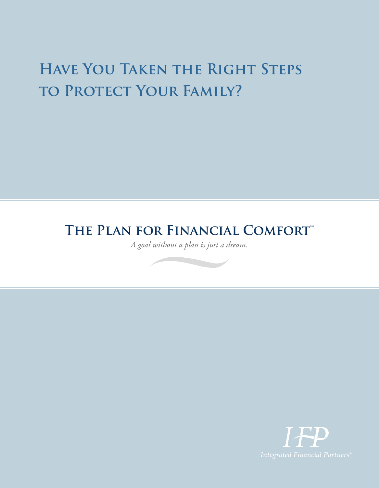## **Have You Taken the Right Steps**  TO PROTECT YOUR FAMILY?

### **THE PLAN FOR FINANCIAL COMFORT™**

*A goal without a plan is just a dream.*